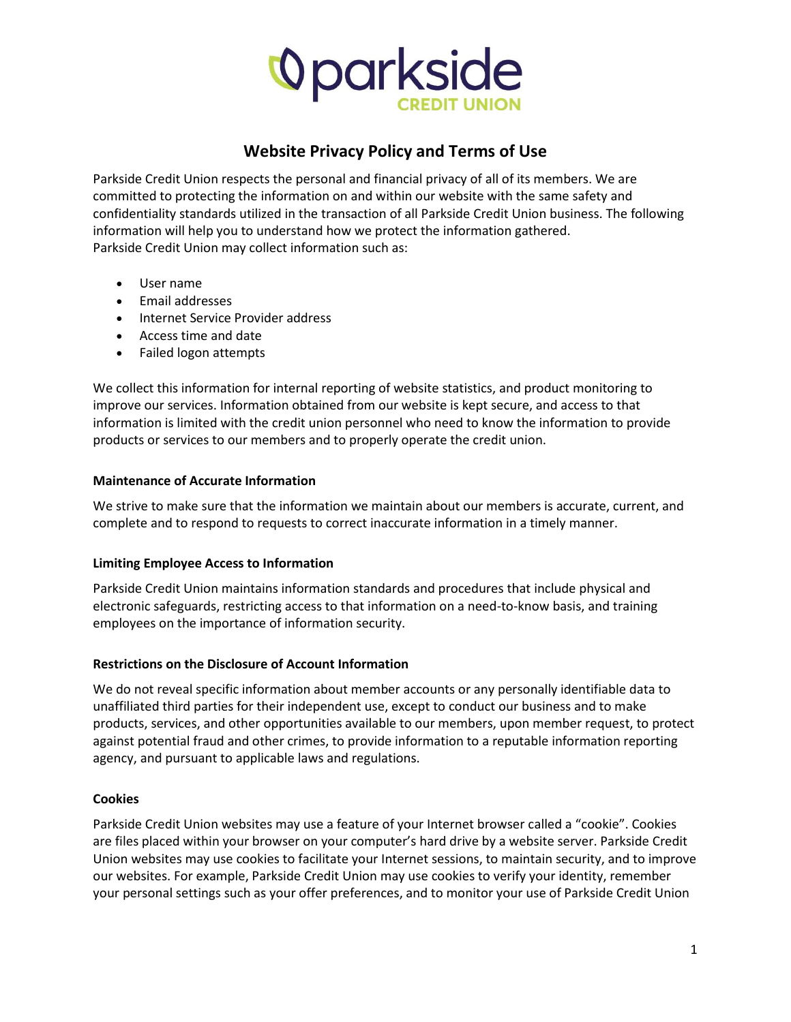

# **Website Privacy Policy and Terms of Use**

Parkside Credit Union respects the personal and financial privacy of all of its members. We are committed to protecting the information on and within our website with the same safety and confidentiality standards utilized in the transaction of all Parkside Credit Union business. The following information will help you to understand how we protect the information gathered. Parkside Credit Union may collect information such as:

- User name
- Email addresses
- Internet Service Provider address
- Access time and date
- Failed logon attempts

We collect this information for internal reporting of website statistics, and product monitoring to improve our services. Information obtained from our website is kept secure, and access to that information is limited with the credit union personnel who need to know the information to provide products or services to our members and to properly operate the credit union.

## **Maintenance of Accurate Information**

We strive to make sure that the information we maintain about our members is accurate, current, and complete and to respond to requests to correct inaccurate information in a timely manner.

## **Limiting Employee Access to Information**

Parkside Credit Union maintains information standards and procedures that include physical and electronic safeguards, restricting access to that information on a need-to-know basis, and training employees on the importance of information security.

## **Restrictions on the Disclosure of Account Information**

We do not reveal specific information about member accounts or any personally identifiable data to unaffiliated third parties for their independent use, except to conduct our business and to make products, services, and other opportunities available to our members, upon member request, to protect against potential fraud and other crimes, to provide information to a reputable information reporting agency, and pursuant to applicable laws and regulations.

## **Cookies**

Parkside Credit Union websites may use a feature of your Internet browser called a "cookie". Cookies are files placed within your browser on your computer's hard drive by a website server. Parkside Credit Union websites may use cookies to facilitate your Internet sessions, to maintain security, and to improve our websites. For example, Parkside Credit Union may use cookies to verify your identity, remember your personal settings such as your offer preferences, and to monitor your use of Parkside Credit Union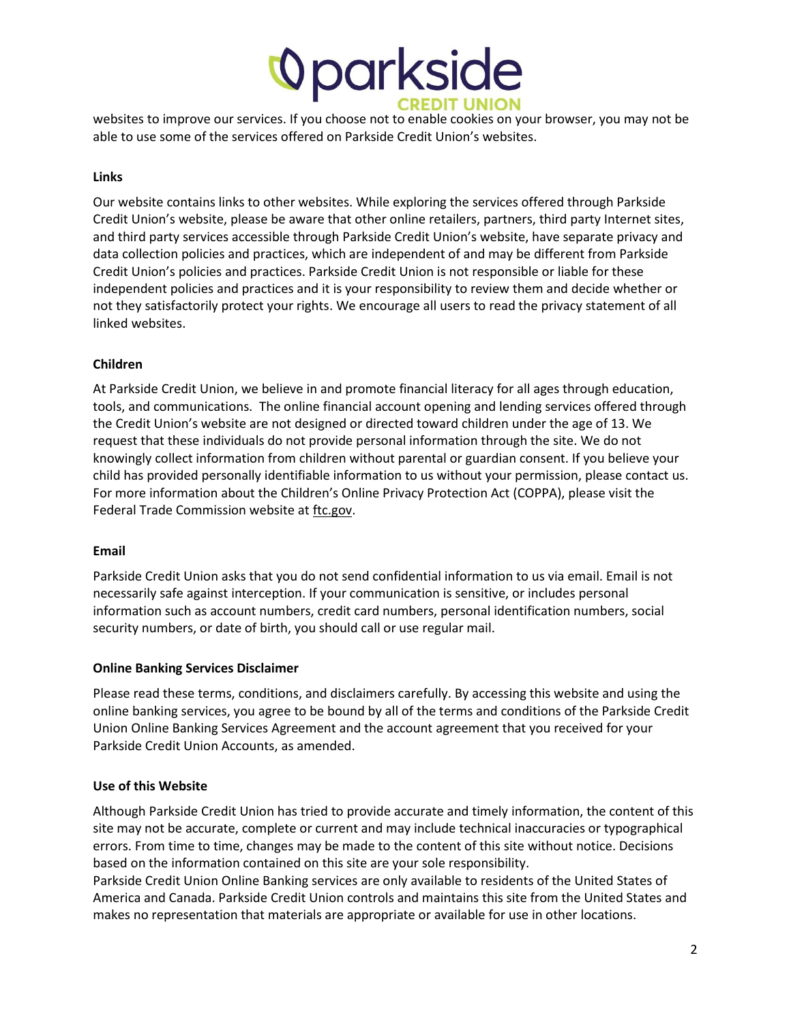

websites to improve our services. If you choose not to enable cookies on your browser, you may not be able to use some of the services offered on Parkside Credit Union's websites.

## **Links**

Our website contains links to other websites. While exploring the services offered through Parkside Credit Union's website, please be aware that other online retailers, partners, third party Internet sites, and third party services accessible through Parkside Credit Union's website, have separate privacy and data collection policies and practices, which are independent of and may be different from Parkside Credit Union's policies and practices. Parkside Credit Union is not responsible or liable for these independent policies and practices and it is your responsibility to review them and decide whether or not they satisfactorily protect your rights. We encourage all users to read the privacy statement of all linked websites.

# **Children**

At Parkside Credit Union, we believe in and promote financial literacy for all ages through education, tools, and communications. The online financial account opening and lending services offered through the Credit Union's website are not designed or directed toward children under the age of 13. We request that these individuals do not provide personal information through the site. We do not knowingly collect information from children without parental or guardian consent. If you believe your child has provided personally identifiable information to us without your permission, please contact us. For more information about the Children's Online Privacy Protection Act (COPPA), please visit the Federal Trade Commission website at [ftc.gov.](http://www.ftc.gov/)

## **Email**

Parkside Credit Union asks that you do not send confidential information to us via email. Email is not necessarily safe against interception. If your communication is sensitive, or includes personal information such as account numbers, credit card numbers, personal identification numbers, social security numbers, or date of birth, you should call or use regular mail.

## **Online Banking Services Disclaimer**

Please read these terms, conditions, and disclaimers carefully. By accessing this website and using the online banking services, you agree to be bound by all of the terms and conditions of the Parkside Credit Union Online Banking Services Agreement and the account agreement that you received for your Parkside Credit Union Accounts, as amended.

## **Use of this Website**

Although Parkside Credit Union has tried to provide accurate and timely information, the content of this site may not be accurate, complete or current and may include technical inaccuracies or typographical errors. From time to time, changes may be made to the content of this site without notice. Decisions based on the information contained on this site are your sole responsibility.

Parkside Credit Union Online Banking services are only available to residents of the United States of America and Canada. Parkside Credit Union controls and maintains this site from the United States and makes no representation that materials are appropriate or available for use in other locations.